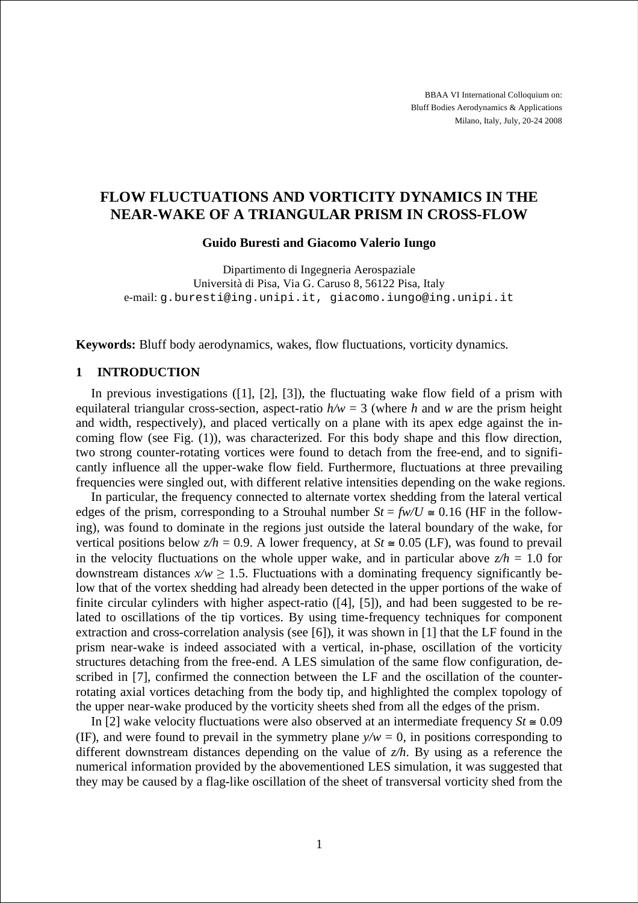BBAA VI International Colloquium on: Bluff Bodies Aerodynamics & Applications Milano, Italy, July, 20-24 2008

# **FLOW FLUCTUATIONS AND VORTICITY DYNAMICS IN THE NEAR-WAKE OF A TRIANGULAR PRISM IN CROSS-FLOW**

#### **Guido Buresti and Giacomo Valerio Iungo**

Dipartimento di Ingegneria Aerospaziale Università di Pisa, Via G. Caruso 8, 56122 Pisa, Italy e-mail: g.buresti@ing.unipi.it, giacomo.iungo@ing.unipi.it

**Keywords:** Bluff body aerodynamics, wakes, flow fluctuations, vorticity dynamics.

## **1 INTRODUCTION**

In previous investigations ([1], [2], [3]), the fluctuating wake flow field of a prism with equilateral triangular cross-section, aspect-ratio  $h/w = 3$  (where *h* and *w* are the prism height and width, respectively), and placed vertically on a plane with its apex edge against the incoming flow (see Fig. (1)), was characterized. For this body shape and this flow direction, two strong counter-rotating vortices were found to detach from the free-end, and to significantly influence all the upper-wake flow field. Furthermore, fluctuations at three prevailing frequencies were singled out, with different relative intensities depending on the wake regions.

In particular, the frequency connected to alternate vortex shedding from the lateral vertical edges of the prism, corresponding to a Strouhal number  $St = f w / U \approx 0.16$  (HF in the following), was found to dominate in the regions just outside the lateral boundary of the wake, for vertical positions below  $z/h = 0.9$ . A lower frequency, at  $St \approx 0.05$  (LF), was found to prevail in the velocity fluctuations on the whole upper wake, and in particular above  $z/h = 1.0$  for downstream distances  $x/w \ge 1.5$ . Fluctuations with a dominating frequency significantly below that of the vortex shedding had already been detected in the upper portions of the wake of finite circular cylinders with higher aspect-ratio ([4], [5]), and had been suggested to be related to oscillations of the tip vortices. By using time-frequency techniques for component extraction and cross-correlation analysis (see [6]), it was shown in [1] that the LF found in the prism near-wake is indeed associated with a vertical, in-phase, oscillation of the vorticity structures detaching from the free-end. A LES simulation of the same flow configuration, described in [7], confirmed the connection between the LF and the oscillation of the counterrotating axial vortices detaching from the body tip, and highlighted the complex topology of the upper near-wake produced by the vorticity sheets shed from all the edges of the prism.

In [2] wake velocity fluctuations were also observed at an intermediate frequency  $St \approx 0.09$ (IF), and were found to prevail in the symmetry plane  $y/w = 0$ , in positions corresponding to different downstream distances depending on the value of *z/h*. By using as a reference the numerical information provided by the abovementioned LES simulation, it was suggested that they may be caused by a flag-like oscillation of the sheet of transversal vorticity shed from the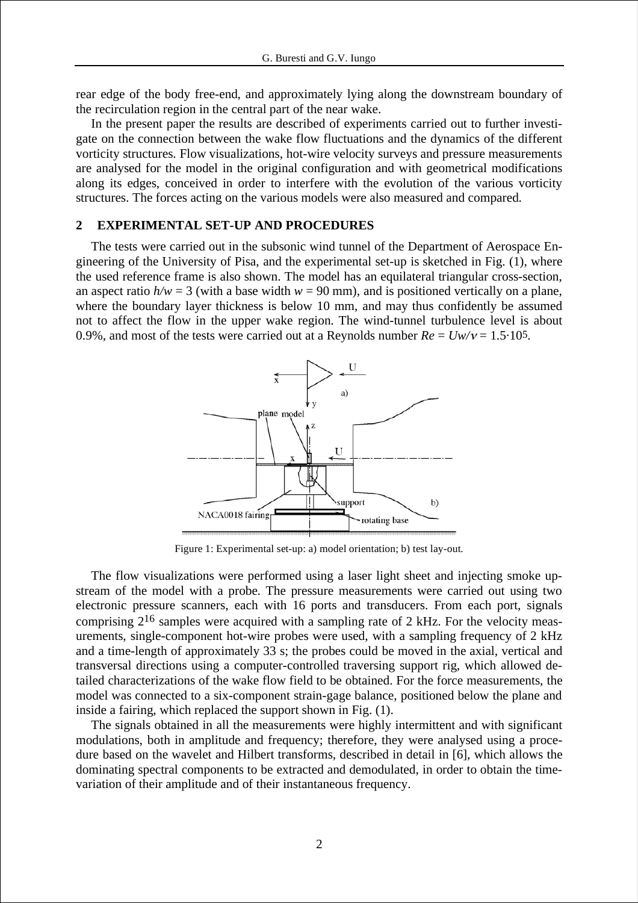rear edge of the body free-end, and approximately lying along the downstream boundary of the recirculation region in the central part of the near wake.

In the present paper the results are described of experiments carried out to further investigate on the connection between the wake flow fluctuations and the dynamics of the different vorticity structures. Flow visualizations, hot-wire velocity surveys and pressure measurements are analysed for the model in the original configuration and with geometrical modifications along its edges, conceived in order to interfere with the evolution of the various vorticity structures. The forces acting on the various models were also measured and compared.

#### **2 EXPERIMENTAL SET-UP AND PROCEDURES**

The tests were carried out in the subsonic wind tunnel of the Department of Aerospace Engineering of the University of Pisa, and the experimental set-up is sketched in Fig. (1), where the used reference frame is also shown. The model has an equilateral triangular cross-section, an aspect ratio  $h/w = 3$  (with a base width  $w = 90$  mm), and is positioned vertically on a plane, where the boundary layer thickness is below 10 mm, and may thus confidently be assumed not to affect the flow in the upper wake region. The wind-tunnel turbulence level is about 0.9%, and most of the tests were carried out at a Reynolds number  $Re = Uw/v = 1.5 \cdot 105$ .



Figure 1: Experimental set-up: a) model orientation; b) test lay-out.

The flow visualizations were performed using a laser light sheet and injecting smoke upstream of the model with a probe. The pressure measurements were carried out using two electronic pressure scanners, each with 16 ports and transducers. From each port, signals comprising  $2^{16}$  samples were acquired with a sampling rate of 2 kHz. For the velocity measurements, single-component hot-wire probes were used, with a sampling frequency of 2 kHz and a time-length of approximately 33 s; the probes could be moved in the axial, vertical and transversal directions using a computer-controlled traversing support rig, which allowed detailed characterizations of the wake flow field to be obtained. For the force measurements, the model was connected to a six-component strain-gage balance, positioned below the plane and inside a fairing, which replaced the support shown in Fig. (1).

The signals obtained in all the measurements were highly intermittent and with significant modulations, both in amplitude and frequency; therefore, they were analysed using a procedure based on the wavelet and Hilbert transforms, described in detail in [6], which allows the dominating spectral components to be extracted and demodulated, in order to obtain the timevariation of their amplitude and of their instantaneous frequency.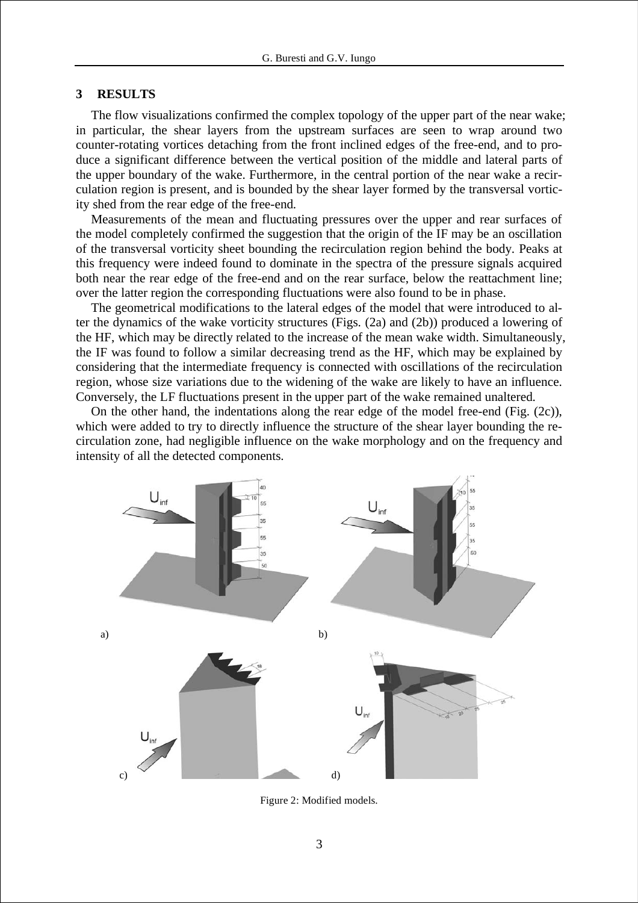#### **3 RESULTS**

The flow visualizations confirmed the complex topology of the upper part of the near wake; in particular, the shear layers from the upstream surfaces are seen to wrap around two counter-rotating vortices detaching from the front inclined edges of the free-end, and to produce a significant difference between the vertical position of the middle and lateral parts of the upper boundary of the wake. Furthermore, in the central portion of the near wake a recirculation region is present, and is bounded by the shear layer formed by the transversal vorticity shed from the rear edge of the free-end.

Measurements of the mean and fluctuating pressures over the upper and rear surfaces of the model completely confirmed the suggestion that the origin of the IF may be an oscillation of the transversal vorticity sheet bounding the recirculation region behind the body. Peaks at this frequency were indeed found to dominate in the spectra of the pressure signals acquired both near the rear edge of the free-end and on the rear surface, below the reattachment line; over the latter region the corresponding fluctuations were also found to be in phase.

The geometrical modifications to the lateral edges of the model that were introduced to alter the dynamics of the wake vorticity structures (Figs. (2a) and (2b)) produced a lowering of the HF, which may be directly related to the increase of the mean wake width. Simultaneously, the IF was found to follow a similar decreasing trend as the HF, which may be explained by considering that the intermediate frequency is connected with oscillations of the recirculation region, whose size variations due to the widening of the wake are likely to have an influence. Conversely, the LF fluctuations present in the upper part of the wake remained unaltered.

On the other hand, the indentations along the rear edge of the model free-end (Fig. (2c)), which were added to try to directly influence the structure of the shear layer bounding the recirculation zone, had negligible influence on the wake morphology and on the frequency and intensity of all the detected components.



Figure 2: Modified models.